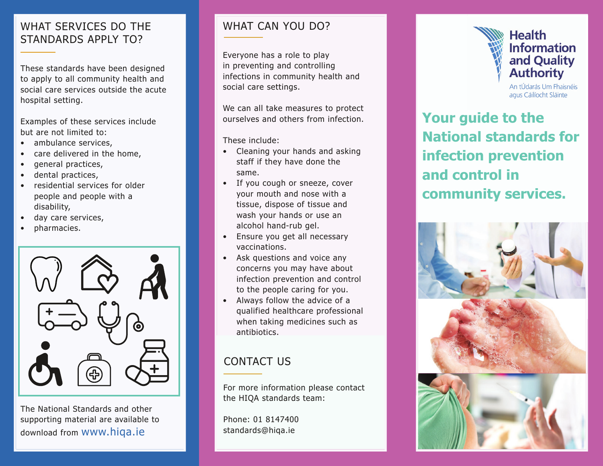### WHAT SERVICES DO THE STANDARDS APPLY TO?

These standards have been designed to apply to all community health and social care services outside the acute hospital setting.

Examples of these services include but are not limited to:

- ambulance services,
- care delivered in the home,
- general practices,
- dental practices,
- residential services for older people and people with a disability,
- day care services,
- pharmacies.



The National Standards and other supporting material are available to download from www.hiqa.ie

## WHAT CAN YOU DO?

Everyone has a role to play in preventing and controlling infections in community health and social care settings.

We can all take measures to protect ourselves and others from infection.

These include:

- Cleaning your hands and asking staff if they have done the same.
- If you cough or sneeze, cover your mouth and nose with a tissue, dispose of tissue and wash your hands or use an alcohol hand-rub gel.
- Ensure you get all necessary vaccinations.
- Ask questions and voice any concerns you may have about infection prevention and control to the people caring for you.
- Always follow the advice of a qualified healthcare professional when taking medicines such as antibiotics.

# CONTACT US

For more information please contact the HIQA standards team:

Phone: 01 8147400 standards@hiqa.ie



and Quality **Authority** An tÚdarás Um Fhaisnéis

agus Cáilíocht Sláinte

**Your guide to the National standards for infection prevention and control in community services.**